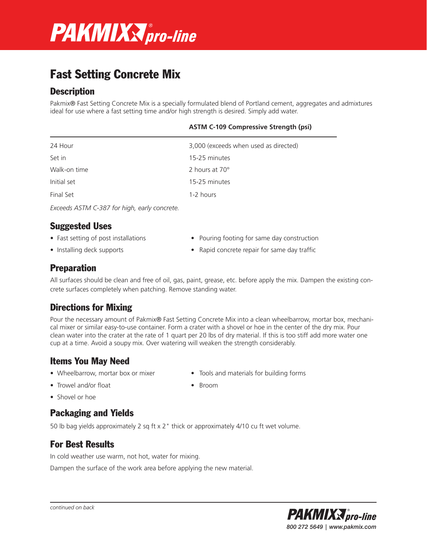

# Fast Setting Concrete Mix

## **Description**

Pakmix® Fast Setting Concrete Mix is a specially formulated blend of Portland cement, aggregates and admixtures ideal for use where a fast setting time and/or high strength is desired. Simply add water.

#### **ASTM C-109 Compressive Strength (psi)**

| 24 Hour      | 3,000 (exceeds when used as directed) |
|--------------|---------------------------------------|
| Set in       | 15-25 minutes                         |
| Walk-on time | 2 hours at 70°                        |
| Initial set  | 15-25 minutes                         |
| Final Set    | 1-2 hours                             |

*Exceeds ASTM C-387 for high, early concrete.*

### Suggested Uses

- Fast setting of post installations Pouring footing for same day construction
- 
- 
- Installing deck supports Rapid concrete repair for same day traffic

### Preparation

All surfaces should be clean and free of oil, gas, paint, grease, etc. before apply the mix. Dampen the existing concrete surfaces completely when patching. Remove standing water.

# Directions for Mixing

Pour the necessary amount of Pakmix® Fast Setting Concrete Mix into a clean wheelbarrow, mortar box, mechanical mixer or similar easy-to-use container. Form a crater with a shovel or hoe in the center of the dry mix. Pour clean water into the crater at the rate of 1 quart per 20 lbs of dry material. If this is too stiff add more water one cup at a time. Avoid a soupy mix. Over watering will weaken the strength considerably.

### Items You May Need

- 
- Trowel and/or float Broom
- Wheelbarrow, mortar box or mixer Tools and materials for building forms
- 

• Shovel or hoe

### Packaging and Yields

50 lb bag yields approximately 2 sq ft x 2" thick or approximately 4/10 cu ft wet volume.

# For Best Results

In cold weather use warm, not hot, water for mixing.

Dampen the surface of the work area before applying the new material.